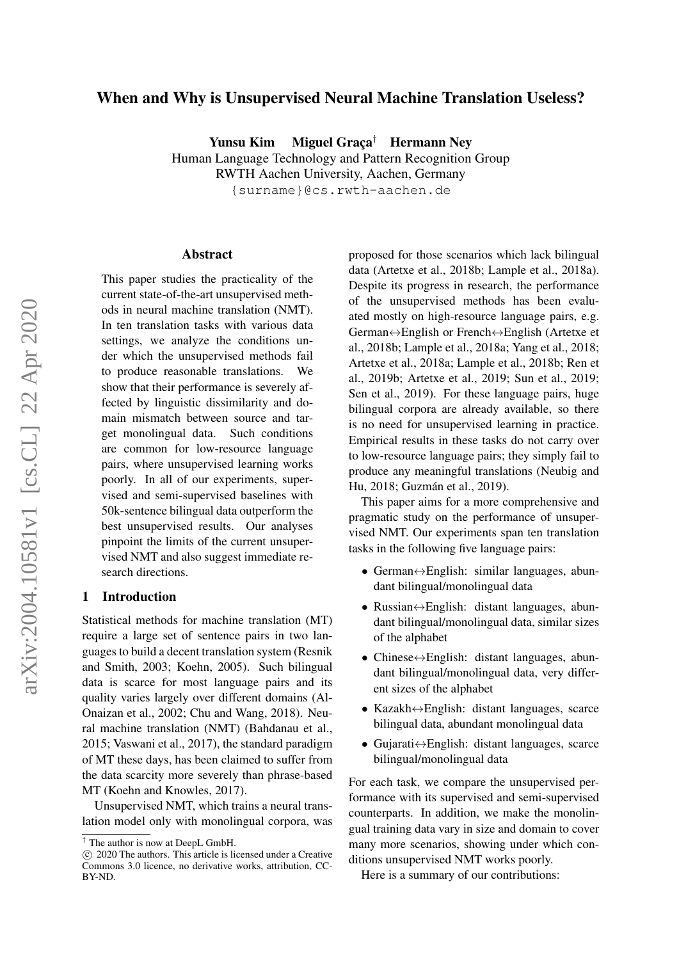# When and Why is Unsupervised Neural Machine Translation Useless?

Yunsu Kim Miguel Graça† Hermann Ney

Human Language Technology and Pattern Recognition Group

RWTH Aachen University, Aachen, Germany

{surname}@cs.rwth-aachen.de

#### Abstract

This paper studies the practicality of the current state-of-the-art unsupervised methods in neural machine translation (NMT). In ten translation tasks with various data settings, we analyze the conditions under which the unsupervised methods fail to produce reasonable translations. We show that their performance is severely affected by linguistic dissimilarity and domain mismatch between source and target monolingual data. Such conditions are common for low-resource language pairs, where unsupervised learning works poorly. In all of our experiments, supervised and semi-supervised baselines with 50k-sentence bilingual data outperform the best unsupervised results. Our analyses pinpoint the limits of the current unsupervised NMT and also suggest immediate research directions.

# 1 Introduction

Statistical methods for machine translation (MT) require a large set of sentence pairs in two languages to build a decent translation system (Resnik and Smith, 2003; Koehn, 2005). Such bilingual data is scarce for most language pairs and its quality varies largely over different domains (Al-Onaizan et al., 2002; Chu and Wang, 2018). Neural machine translation (NMT) (Bahdanau et al., 2015; Vaswani et al., 2017), the standard paradigm of MT these days, has been claimed to suffer from the data scarcity more severely than phrase-based MT (Koehn and Knowles, 2017).

Unsupervised NMT, which trains a neural translation model only with monolingual corpora, was proposed for those scenarios which lack bilingual data (Artetxe et al., 2018b; Lample et al., 2018a). Despite its progress in research, the performance of the unsupervised methods has been evaluated mostly on high-resource language pairs, e.g. German↔English or French↔English (Artetxe et al., 2018b; Lample et al., 2018a; Yang et al., 2018; Artetxe et al., 2018a; Lample et al., 2018b; Ren et al., 2019b; Artetxe et al., 2019; Sun et al., 2019; Sen et al., 2019). For these language pairs, huge bilingual corpora are already available, so there is no need for unsupervised learning in practice. Empirical results in these tasks do not carry over to low-resource language pairs; they simply fail to produce any meaningful translations (Neubig and Hu, 2018; Guzmán et al., 2019).

This paper aims for a more comprehensive and pragmatic study on the performance of unsupervised NMT. Our experiments span ten translation tasks in the following five language pairs:

- German $\leftrightarrow$ English: similar languages, abundant bilingual/monolingual data
- Russian↔English: distant languages, abundant bilingual/monolingual data, similar sizes of the alphabet
- Chinese $\leftrightarrow$ English: distant languages, abundant bilingual/monolingual data, very different sizes of the alphabet
- Kazakh↔English: distant languages, scarce bilingual data, abundant monolingual data
- Gujarati↔English: distant languages, scarce bilingual/monolingual data

For each task, we compare the unsupervised performance with its supervised and semi-supervised counterparts. In addition, we make the monolingual training data vary in size and domain to cover many more scenarios, showing under which conditions unsupervised NMT works poorly.

Here is a summary of our contributions:

<sup>†</sup> The author is now at DeepL GmbH.

c 2020 The authors. This article is licensed under a Creative Commons 3.0 licence, no derivative works, attribution, CC-BY-ND.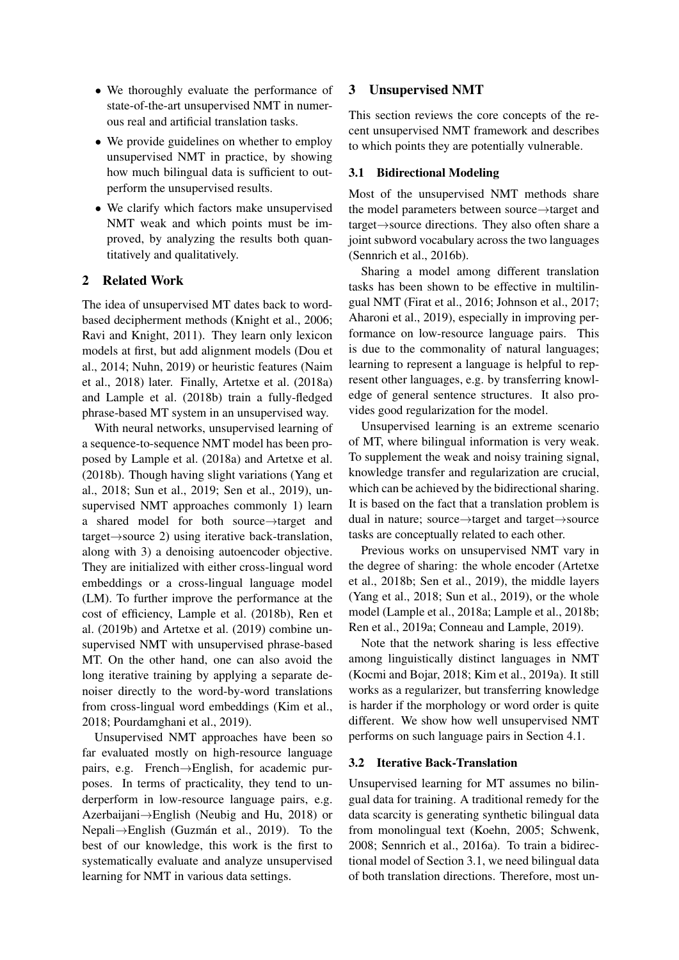- We thoroughly evaluate the performance of state-of-the-art unsupervised NMT in numerous real and artificial translation tasks.
- We provide guidelines on whether to employ unsupervised NMT in practice, by showing how much bilingual data is sufficient to outperform the unsupervised results.
- We clarify which factors make unsupervised NMT weak and which points must be improved, by analyzing the results both quantitatively and qualitatively.

# 2 Related Work

The idea of unsupervised MT dates back to wordbased decipherment methods (Knight et al., 2006; Ravi and Knight, 2011). They learn only lexicon models at first, but add alignment models (Dou et al., 2014; Nuhn, 2019) or heuristic features (Naim et al., 2018) later. Finally, Artetxe et al. (2018a) and Lample et al. (2018b) train a fully-fledged phrase-based MT system in an unsupervised way.

With neural networks, unsupervised learning of a sequence-to-sequence NMT model has been proposed by Lample et al. (2018a) and Artetxe et al. (2018b). Though having slight variations (Yang et al., 2018; Sun et al., 2019; Sen et al., 2019), unsupervised NMT approaches commonly 1) learn a shared model for both source→target and target→source 2) using iterative back-translation, along with 3) a denoising autoencoder objective. They are initialized with either cross-lingual word embeddings or a cross-lingual language model (LM). To further improve the performance at the cost of efficiency, Lample et al. (2018b), Ren et al. (2019b) and Artetxe et al. (2019) combine unsupervised NMT with unsupervised phrase-based MT. On the other hand, one can also avoid the long iterative training by applying a separate denoiser directly to the word-by-word translations from cross-lingual word embeddings (Kim et al., 2018; Pourdamghani et al., 2019).

Unsupervised NMT approaches have been so far evaluated mostly on high-resource language pairs, e.g. French→English, for academic purposes. In terms of practicality, they tend to underperform in low-resource language pairs, e.g. Azerbaijani→English (Neubig and Hu, 2018) or Nepali→English (Guzmán et al., 2019). To the best of our knowledge, this work is the first to systematically evaluate and analyze unsupervised learning for NMT in various data settings.

# 3 Unsupervised NMT

This section reviews the core concepts of the recent unsupervised NMT framework and describes to which points they are potentially vulnerable.

#### 3.1 Bidirectional Modeling

Most of the unsupervised NMT methods share the model parameters between source→target and target→source directions. They also often share a joint subword vocabulary across the two languages (Sennrich et al., 2016b).

Sharing a model among different translation tasks has been shown to be effective in multilingual NMT (Firat et al., 2016; Johnson et al., 2017; Aharoni et al., 2019), especially in improving performance on low-resource language pairs. This is due to the commonality of natural languages; learning to represent a language is helpful to represent other languages, e.g. by transferring knowledge of general sentence structures. It also provides good regularization for the model.

Unsupervised learning is an extreme scenario of MT, where bilingual information is very weak. To supplement the weak and noisy training signal, knowledge transfer and regularization are crucial, which can be achieved by the bidirectional sharing. It is based on the fact that a translation problem is dual in nature; source→target and target→source tasks are conceptually related to each other.

Previous works on unsupervised NMT vary in the degree of sharing: the whole encoder (Artetxe et al., 2018b; Sen et al., 2019), the middle layers (Yang et al., 2018; Sun et al., 2019), or the whole model (Lample et al., 2018a; Lample et al., 2018b; Ren et al., 2019a; Conneau and Lample, 2019).

Note that the network sharing is less effective among linguistically distinct languages in NMT (Kocmi and Bojar, 2018; Kim et al., 2019a). It still works as a regularizer, but transferring knowledge is harder if the morphology or word order is quite different. We show how well unsupervised NMT performs on such language pairs in Section 4.1.

#### 3.2 Iterative Back-Translation

Unsupervised learning for MT assumes no bilingual data for training. A traditional remedy for the data scarcity is generating synthetic bilingual data from monolingual text (Koehn, 2005; Schwenk, 2008; Sennrich et al., 2016a). To train a bidirectional model of Section 3.1, we need bilingual data of both translation directions. Therefore, most un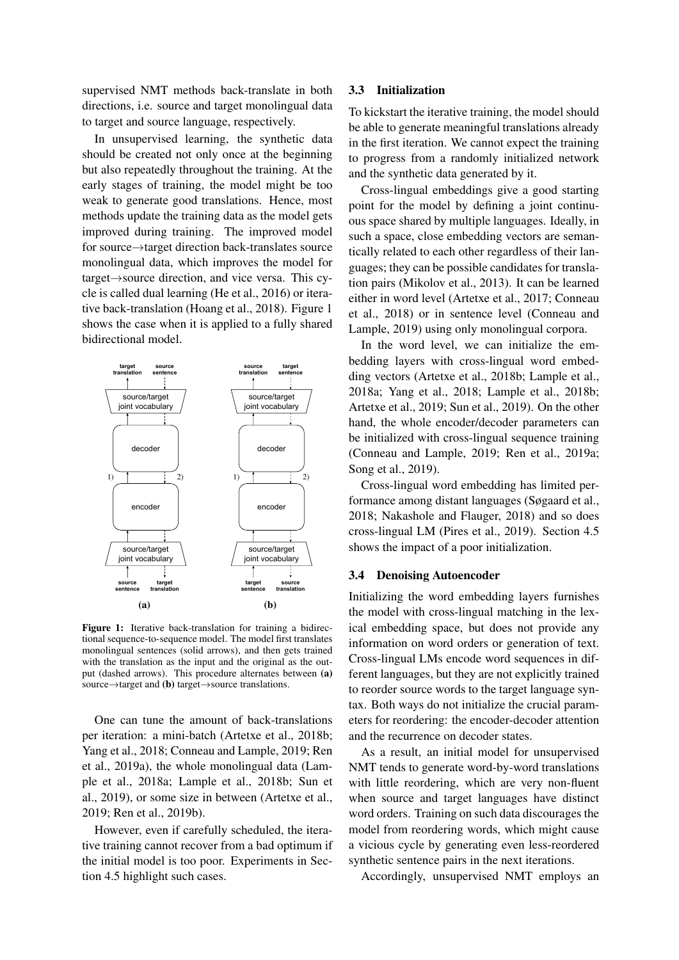supervised NMT methods back-translate in both directions, i.e. source and target monolingual data to target and source language, respectively.

In unsupervised learning, the synthetic data should be created not only once at the beginning but also repeatedly throughout the training. At the early stages of training, the model might be too weak to generate good translations. Hence, most methods update the training data as the model gets improved during training. The improved model for source→target direction back-translates source monolingual data, which improves the model for target→source direction, and vice versa. This cycle is called dual learning (He et al., 2016) or iterative back-translation (Hoang et al., 2018). Figure 1 shows the case when it is applied to a fully shared bidirectional model.



Figure 1: Iterative back-translation for training a bidirectional sequence-to-sequence model. The model first translates monolingual sentences (solid arrows), and then gets trained with the translation as the input and the original as the output (dashed arrows). This procedure alternates between (a) source→target and (**b**) target→source translations.

One can tune the amount of back-translations per iteration: a mini-batch (Artetxe et al., 2018b; Yang et al., 2018; Conneau and Lample, 2019; Ren et al., 2019a), the whole monolingual data (Lample et al., 2018a; Lample et al., 2018b; Sun et al., 2019), or some size in between (Artetxe et al., 2019; Ren et al., 2019b).

However, even if carefully scheduled, the iterative training cannot recover from a bad optimum if the initial model is too poor. Experiments in Section 4.5 highlight such cases.

# 3.3 Initialization

To kickstart the iterative training, the model should be able to generate meaningful translations already in the first iteration. We cannot expect the training to progress from a randomly initialized network and the synthetic data generated by it.

Cross-lingual embeddings give a good starting point for the model by defining a joint continuous space shared by multiple languages. Ideally, in such a space, close embedding vectors are semantically related to each other regardless of their languages; they can be possible candidates for translation pairs (Mikolov et al., 2013). It can be learned either in word level (Artetxe et al., 2017; Conneau et al., 2018) or in sentence level (Conneau and Lample, 2019) using only monolingual corpora.

In the word level, we can initialize the embedding layers with cross-lingual word embedding vectors (Artetxe et al., 2018b; Lample et al., 2018a; Yang et al., 2018; Lample et al., 2018b; Artetxe et al., 2019; Sun et al., 2019). On the other hand, the whole encoder/decoder parameters can be initialized with cross-lingual sequence training (Conneau and Lample, 2019; Ren et al., 2019a; Song et al., 2019).

Cross-lingual word embedding has limited performance among distant languages (Søgaard et al., 2018; Nakashole and Flauger, 2018) and so does cross-lingual LM (Pires et al., 2019). Section 4.5 shows the impact of a poor initialization.

#### 3.4 Denoising Autoencoder

Initializing the word embedding layers furnishes the model with cross-lingual matching in the lexical embedding space, but does not provide any information on word orders or generation of text. Cross-lingual LMs encode word sequences in different languages, but they are not explicitly trained to reorder source words to the target language syntax. Both ways do not initialize the crucial parameters for reordering: the encoder-decoder attention and the recurrence on decoder states.

As a result, an initial model for unsupervised NMT tends to generate word-by-word translations with little reordering, which are very non-fluent when source and target languages have distinct word orders. Training on such data discourages the model from reordering words, which might cause a vicious cycle by generating even less-reordered synthetic sentence pairs in the next iterations.

Accordingly, unsupervised NMT employs an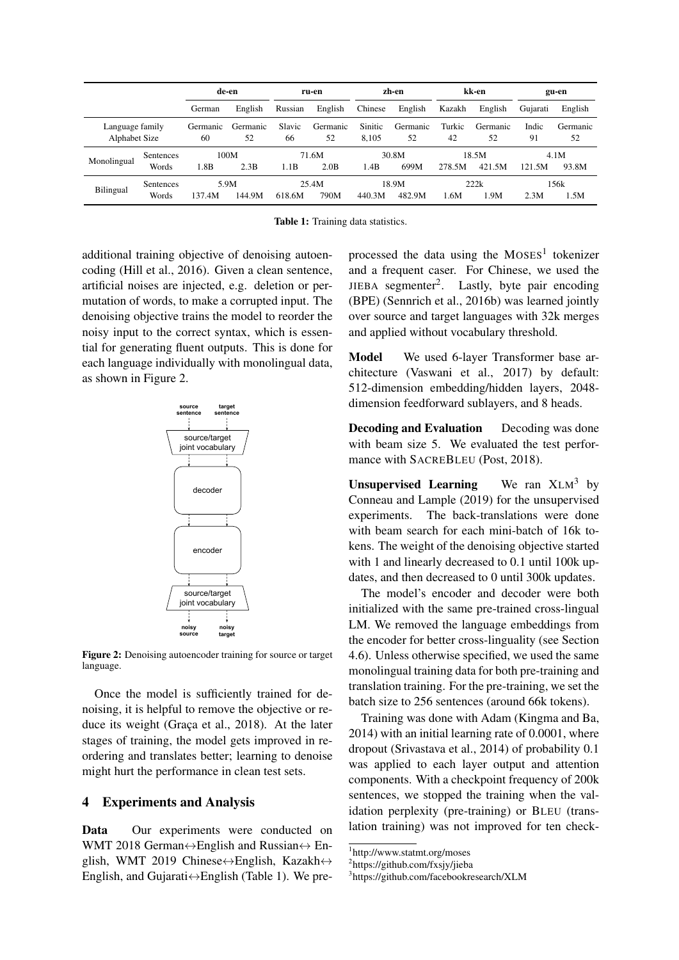|                                  |                           | de-en          |                | ru-en        |                | zh-en            |                 | kk-en        |                 | gu-en       |                |
|----------------------------------|---------------------------|----------------|----------------|--------------|----------------|------------------|-----------------|--------------|-----------------|-------------|----------------|
|                                  |                           | German         | English        | Russian      | English        | Chinese          | English         | Kazakh       | English         | Gujarati    | English        |
| Language family<br>Alphabet Size |                           | Germanic<br>60 | Germanic<br>52 | Slavic<br>66 | Germanic<br>52 | Sinitic<br>8.105 | Germanic<br>52  | Turkic<br>42 | Germanic<br>52  | Indic<br>91 | Germanic<br>52 |
| Monolingual                      | <b>Sentences</b><br>Words | 1.8B           | 100M<br>2.3B   | 1.1B         | 71.6M<br>2.0B  | 1.4B             | 30.8M<br>699M   | 278.5M       | 18.5M<br>421.5M | 121.5M      | 4.1M<br>93.8M  |
| Bilingual                        | Sentences<br>Words        | 137.4M         | 5.9M<br>144.9M | 618.6M       | 25.4M<br>790M  | 440.3M           | 18.9M<br>482.9M | 1.6M         | 222k<br>.9M     | 2.3M        | 156k<br>1.5M   |

Table 1: Training data statistics.

additional training objective of denoising autoencoding (Hill et al., 2016). Given a clean sentence, artificial noises are injected, e.g. deletion or permutation of words, to make a corrupted input. The denoising objective trains the model to reorder the noisy input to the correct syntax, which is essential for generating fluent outputs. This is done for each language individually with monolingual data, as shown in Figure 2.



Figure 2: Denoising autoencoder training for source or target language.

Once the model is sufficiently trained for denoising, it is helpful to remove the objective or reduce its weight (Graça et al., 2018). At the later stages of training, the model gets improved in reordering and translates better; learning to denoise might hurt the performance in clean test sets.

### 4 Experiments and Analysis

Data Our experiments were conducted on WMT 2018 German $\leftrightarrow$ English and Russian $\leftrightarrow$  English, WMT 2019 Chinese $\leftrightarrow$ English, Kazakh $\leftrightarrow$ English, and Gujarati $\leftrightarrow$ English (Table 1). We pre-

processed the data using the  $MOSES<sup>1</sup>$  tokenizer and a frequent caser. For Chinese, we used the JIEBA segmenter<sup>2</sup>. Lastly, byte pair encoding (BPE) (Sennrich et al., 2016b) was learned jointly over source and target languages with 32k merges and applied without vocabulary threshold.

Model We used 6-layer Transformer base architecture (Vaswani et al., 2017) by default: 512-dimension embedding/hidden layers, 2048 dimension feedforward sublayers, and 8 heads.

Decoding and Evaluation Decoding was done with beam size 5. We evaluated the test performance with SACREBLEU (Post, 2018).

**Unsupervised Learning** We ran  $XLM<sup>3</sup>$  by Conneau and Lample (2019) for the unsupervised experiments. The back-translations were done with beam search for each mini-batch of 16k tokens. The weight of the denoising objective started with 1 and linearly decreased to 0.1 until 100k updates, and then decreased to 0 until 300k updates.

The model's encoder and decoder were both initialized with the same pre-trained cross-lingual LM. We removed the language embeddings from the encoder for better cross-linguality (see Section 4.6). Unless otherwise specified, we used the same monolingual training data for both pre-training and translation training. For the pre-training, we set the batch size to 256 sentences (around 66k tokens).

Training was done with Adam (Kingma and Ba, 2014) with an initial learning rate of 0.0001, where dropout (Srivastava et al., 2014) of probability 0.1 was applied to each layer output and attention components. With a checkpoint frequency of 200k sentences, we stopped the training when the validation perplexity (pre-training) or BLEU (translation training) was not improved for ten check-

<sup>1</sup> http://www.statmt.org/moses

<sup>2</sup> https://github.com/fxsjy/jieba

<sup>3</sup> https://github.com/facebookresearch/XLM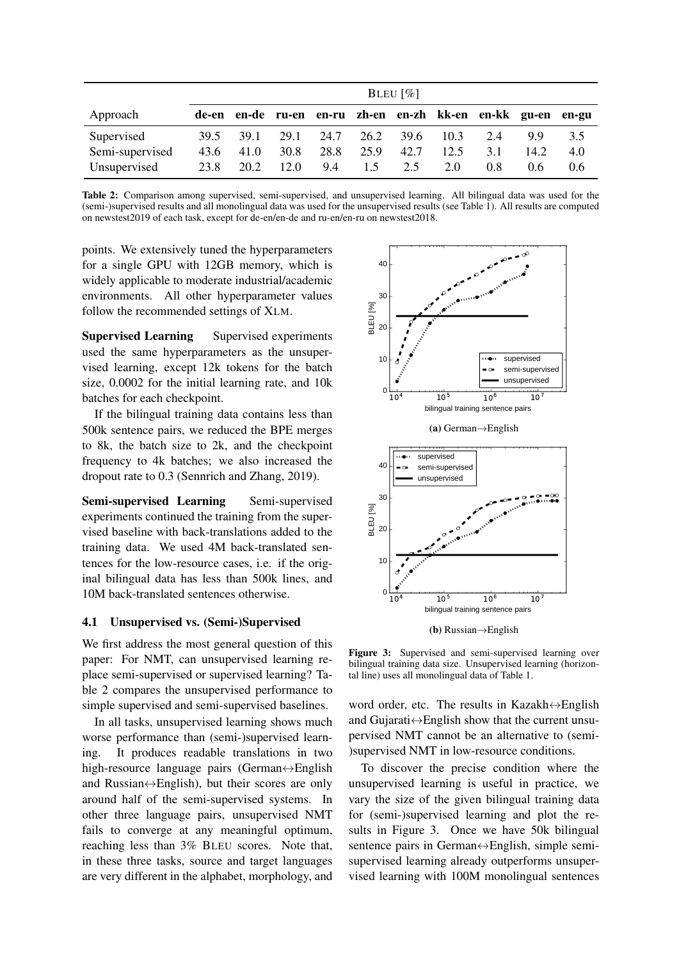|                 | BLEU $\lceil\% \rceil$ |      |      |      |      |      |                                                       |     |               |       |
|-----------------|------------------------|------|------|------|------|------|-------------------------------------------------------|-----|---------------|-------|
| Approach        |                        |      |      |      |      |      | de-en en-de ru-en en-ru zh-en en-zh kk-en en-kk gu-en |     |               | en-gu |
| Supervised      | 39.5                   | 39.1 | 29.1 | 24.7 | 26.2 | 39.6 | 10.3                                                  | 2.4 | 99            | 3.5   |
| Semi-supervised | 43.6                   | 41.0 | 30.8 | 28.8 | 25.9 | 42.7 | 12.5                                                  | 3.1 | 14.2          | 4.0   |
| Unsupervised    | 23.8                   | 20.2 | 12.0 | 9.4  | 1.5  | 2.5  | 2.0                                                   | 0.8 | $0.6^{\circ}$ | 0.6   |

Table 2: Comparison among supervised, semi-supervised, and unsupervised learning. All bilingual data was used for the (semi-)supervised results and all monolingual data was used for the unsupervised results (see Table 1). All results are computed on newstest2019 of each task, except for de-en/en-de and ru-en/en-ru on newstest2018.

points. We extensively tuned the hyperparameters for a single GPU with 12GB memory, which is widely applicable to moderate industrial/academic environments. All other hyperparameter values follow the recommended settings of XLM.

Supervised Learning Supervised experiments used the same hyperparameters as the unsupervised learning, except 12k tokens for the batch size, 0.0002 for the initial learning rate, and 10k batches for each checkpoint.

If the bilingual training data contains less than 500k sentence pairs, we reduced the BPE merges to 8k, the batch size to 2k, and the checkpoint frequency to 4k batches; we also increased the dropout rate to 0.3 (Sennrich and Zhang, 2019).

Semi-supervised Learning Semi-supervised experiments continued the training from the supervised baseline with back-translations added to the training data. We used 4M back-translated sentences for the low-resource cases, i.e. if the original bilingual data has less than 500k lines, and 10M back-translated sentences otherwise.

#### 4.1 Unsupervised vs. (Semi-)Supervised

We first address the most general question of this paper: For NMT, can unsupervised learning replace semi-supervised or supervised learning? Table 2 compares the unsupervised performance to simple supervised and semi-supervised baselines.

In all tasks, unsupervised learning shows much worse performance than (semi-)supervised learning. It produces readable translations in two high-resource language pairs (German↔English and Russian $\leftrightarrow$ English), but their scores are only around half of the semi-supervised systems. In other three language pairs, unsupervised NMT fails to converge at any meaningful optimum, reaching less than 3% BLEU scores. Note that, in these three tasks, source and target languages are very different in the alphabet, morphology, and





Figure 3: Supervised and semi-supervised learning over bilingual training data size. Unsupervised learning (horizontal line) uses all monolingual data of Table 1.

word order, etc. The results in Kazakh↔English and Gujarati $\leftrightarrow$ English show that the current unsupervised NMT cannot be an alternative to (semi- )supervised NMT in low-resource conditions.

To discover the precise condition where the unsupervised learning is useful in practice, we vary the size of the given bilingual training data for (semi-)supervised learning and plot the results in Figure 3. Once we have 50k bilingual sentence pairs in German↔English, simple semisupervised learning already outperforms unsupervised learning with 100M monolingual sentences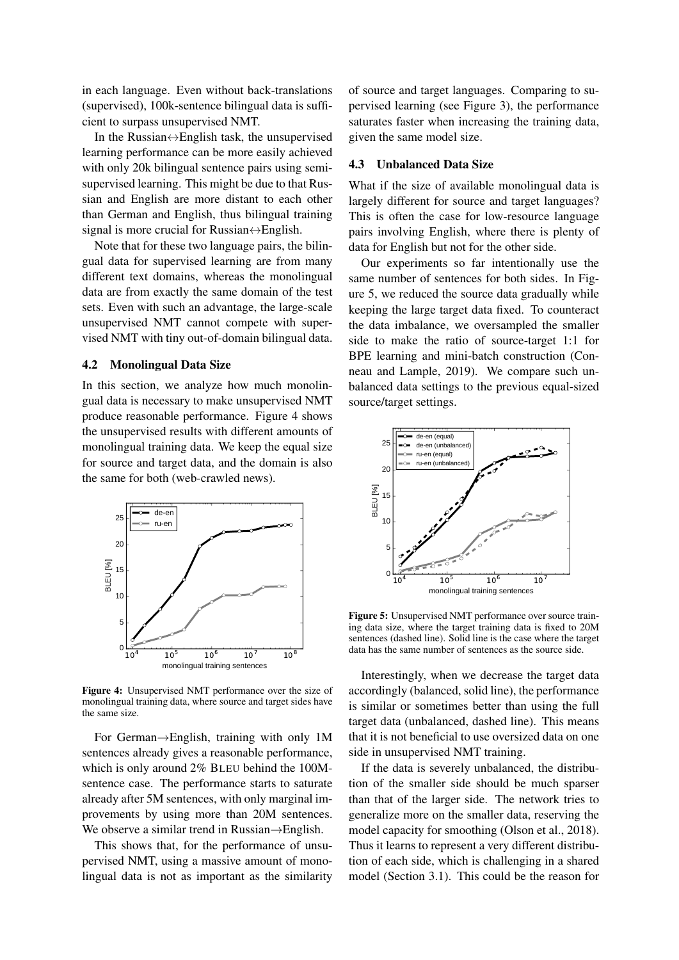in each language. Even without back-translations (supervised), 100k-sentence bilingual data is sufficient to surpass unsupervised NMT.

In the Russian $\leftrightarrow$ English task, the unsupervised learning performance can be more easily achieved with only 20k bilingual sentence pairs using semisupervised learning. This might be due to that Russian and English are more distant to each other than German and English, thus bilingual training signal is more crucial for Russian $\leftrightarrow$ English.

Note that for these two language pairs, the bilingual data for supervised learning are from many different text domains, whereas the monolingual data are from exactly the same domain of the test sets. Even with such an advantage, the large-scale unsupervised NMT cannot compete with supervised NMT with tiny out-of-domain bilingual data.

#### 4.2 Monolingual Data Size

In this section, we analyze how much monolingual data is necessary to make unsupervised NMT produce reasonable performance. Figure 4 shows the unsupervised results with different amounts of monolingual training data. We keep the equal size for source and target data, and the domain is also the same for both (web-crawled news).



Figure 4: Unsupervised NMT performance over the size of monolingual training data, where source and target sides have the same size.

For German→English, training with only 1M sentences already gives a reasonable performance, which is only around 2% BLEU behind the 100Msentence case. The performance starts to saturate already after 5M sentences, with only marginal improvements by using more than 20M sentences. We observe a similar trend in Russian→English.

This shows that, for the performance of unsupervised NMT, using a massive amount of monolingual data is not as important as the similarity of source and target languages. Comparing to supervised learning (see Figure 3), the performance saturates faster when increasing the training data, given the same model size.

### 4.3 Unbalanced Data Size

What if the size of available monolingual data is largely different for source and target languages? This is often the case for low-resource language pairs involving English, where there is plenty of data for English but not for the other side.

Our experiments so far intentionally use the same number of sentences for both sides. In Figure 5, we reduced the source data gradually while keeping the large target data fixed. To counteract the data imbalance, we oversampled the smaller side to make the ratio of source-target 1:1 for BPE learning and mini-batch construction (Conneau and Lample, 2019). We compare such unbalanced data settings to the previous equal-sized source/target settings.



Figure 5: Unsupervised NMT performance over source training data size, where the target training data is fixed to 20M sentences (dashed line). Solid line is the case where the target data has the same number of sentences as the source side.

Interestingly, when we decrease the target data accordingly (balanced, solid line), the performance is similar or sometimes better than using the full target data (unbalanced, dashed line). This means that it is not beneficial to use oversized data on one side in unsupervised NMT training.

If the data is severely unbalanced, the distribution of the smaller side should be much sparser than that of the larger side. The network tries to generalize more on the smaller data, reserving the model capacity for smoothing (Olson et al., 2018). Thus it learns to represent a very different distribution of each side, which is challenging in a shared model (Section 3.1). This could be the reason for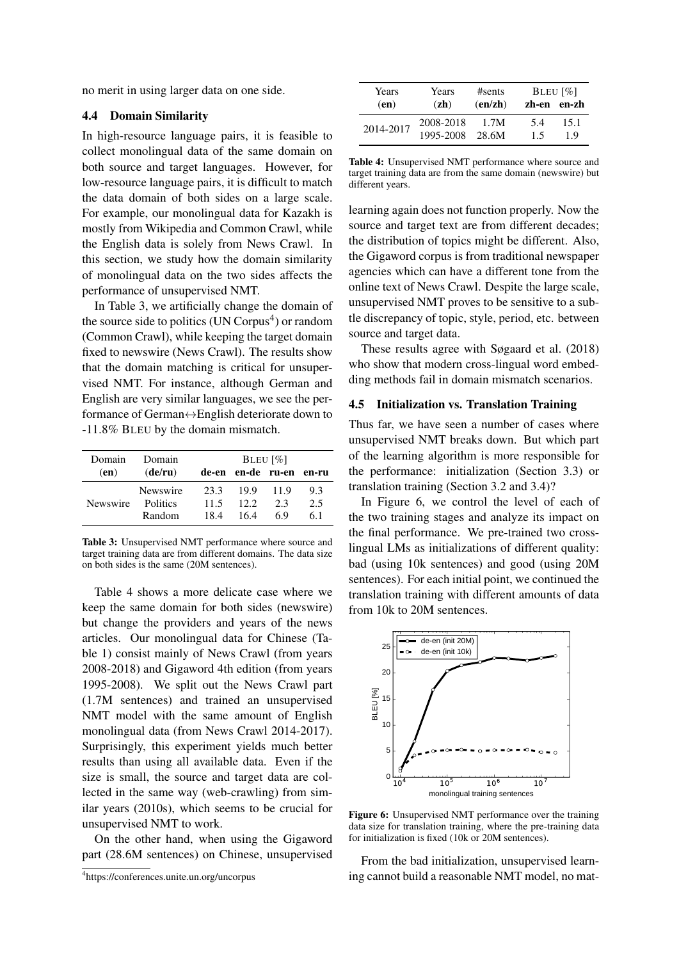no merit in using larger data on one side.

#### 4.4 Domain Similarity

In high-resource language pairs, it is feasible to collect monolingual data of the same domain on both source and target languages. However, for low-resource language pairs, it is difficult to match the data domain of both sides on a large scale. For example, our monolingual data for Kazakh is mostly from Wikipedia and Common Crawl, while the English data is solely from News Crawl. In this section, we study how the domain similarity of monolingual data on the two sides affects the performance of unsupervised NMT.

In Table 3, we artificially change the domain of the source side to politics (UN Corpus<sup>4</sup>) or random (Common Crawl), while keeping the target domain fixed to newswire (News Crawl). The results show that the domain matching is critical for unsupervised NMT. For instance, although German and English are very similar languages, we see the performance of German↔English deteriorate down to -11.8% BLEU by the domain mismatch.

| Domain   | Domain          | BLEU $\lceil\% \rceil$ |      |             |       |  |  |
|----------|-----------------|------------------------|------|-------------|-------|--|--|
| (en)     | (de/ru)         | de-en                  |      | en-de ru-en | en-ru |  |  |
|          | Newswire        | 23.3                   | 19.9 | 11.9        | 9.3   |  |  |
| Newswire | <b>Politics</b> | 11.5                   | 12.2 | 23          | 2.5   |  |  |
|          | Random          | 184                    | 164  | 69          | 61    |  |  |

Table 3: Unsupervised NMT performance where source and target training data are from different domains. The data size on both sides is the same (20M sentences).

Table 4 shows a more delicate case where we keep the same domain for both sides (newswire) but change the providers and years of the news articles. Our monolingual data for Chinese (Table 1) consist mainly of News Crawl (from years 2008-2018) and Gigaword 4th edition (from years 1995-2008). We split out the News Crawl part (1.7M sentences) and trained an unsupervised NMT model with the same amount of English monolingual data (from News Crawl 2014-2017). Surprisingly, this experiment yields much better results than using all available data. Even if the size is small, the source and target data are collected in the same way (web-crawling) from similar years (2010s), which seems to be crucial for unsupervised NMT to work.

On the other hand, when using the Gigaword part (28.6M sentences) on Chinese, unsupervised

| Years     | Years     | #sents |     | $BLEU$ $\lceil \% \rceil$ |  |  |
|-----------|-----------|--------|-----|---------------------------|--|--|
| (en)      | (zh)      | (enzh) |     | zh-en en-zh               |  |  |
| 2014-2017 | 2008-2018 | 1.7M   | 5.4 | 15.1                      |  |  |
|           | 1995-2008 | 28.6M  | 1.5 | 19                        |  |  |

Table 4: Unsupervised NMT performance where source and target training data are from the same domain (newswire) but different years.

learning again does not function properly. Now the source and target text are from different decades; the distribution of topics might be different. Also, the Gigaword corpus is from traditional newspaper agencies which can have a different tone from the online text of News Crawl. Despite the large scale, unsupervised NMT proves to be sensitive to a subtle discrepancy of topic, style, period, etc. between source and target data.

These results agree with Søgaard et al. (2018) who show that modern cross-lingual word embedding methods fail in domain mismatch scenarios.

### 4.5 Initialization vs. Translation Training

Thus far, we have seen a number of cases where unsupervised NMT breaks down. But which part of the learning algorithm is more responsible for the performance: initialization (Section 3.3) or translation training (Section 3.2 and 3.4)?

In Figure 6, we control the level of each of the two training stages and analyze its impact on the final performance. We pre-trained two crosslingual LMs as initializations of different quality: bad (using 10k sentences) and good (using 20M sentences). For each initial point, we continued the translation training with different amounts of data from 10k to 20M sentences.



Figure 6: Unsupervised NMT performance over the training data size for translation training, where the pre-training data for initialization is fixed (10k or 20M sentences).

From the bad initialization, unsupervised learning cannot build a reasonable NMT model, no mat-

<sup>4</sup> https://conferences.unite.un.org/uncorpus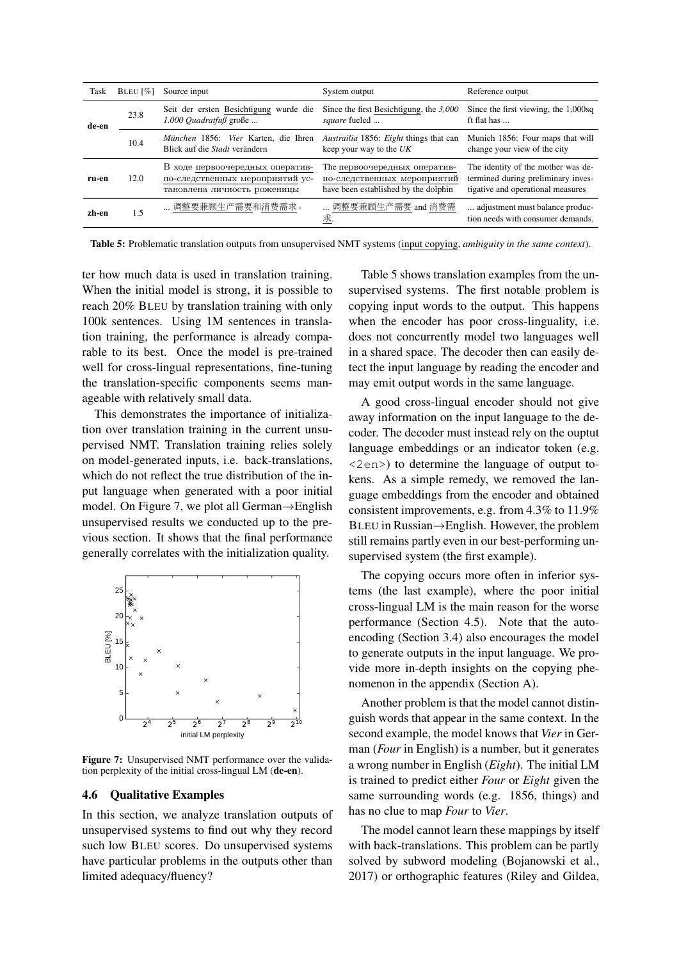| Task  | BLEU $[\%]$ | Source input                                                                                      | System output                                                                                       | Reference output                                                                                              |  |
|-------|-------------|---------------------------------------------------------------------------------------------------|-----------------------------------------------------------------------------------------------------|---------------------------------------------------------------------------------------------------------------|--|
| de-en | 23.8        | Seit der ersten Besichtigung wurde die<br>$1.000$ Quadratfuß große                                | Since the first Besichtigung, the $3,000$<br>square fueled                                          | Since the first viewing, the 1,000sq<br>ft flat has                                                           |  |
|       | 10.4        | München 1856: Vier Karten, die Ihren<br>Blick auf die Stadt verändern                             | <i>Austrailia</i> 1856: <i>Eight</i> things that can<br>keep your way to the $UK$                   | Munich 1856: Four maps that will<br>change your view of the city                                              |  |
| ru-en | 12.0        | В ходе первоочередных оператив-<br>но-следственных мероприятий ус-<br>тановлена личность роженицы | The первоочередных оператив-<br>но-следственных мероприятий<br>have been established by the dolphin | The identity of the mother was de-<br>termined during preliminary inves-<br>tigative and operational measures |  |
| zh-en | 1.5         | 调整要兼顾生产需要和消费需求。                                                                                   | 调整要兼顾生产需要 and 消费需<br>求.                                                                             | adjustment must balance produc-<br>tion needs with consumer demands.                                          |  |

Table 5: Problematic translation outputs from unsupervised NMT systems (input copying, *ambiguity in the same context*).

ter how much data is used in translation training. When the initial model is strong, it is possible to reach 20% BLEU by translation training with only 100k sentences. Using 1M sentences in translation training, the performance is already comparable to its best. Once the model is pre-trained well for cross-lingual representations, fine-tuning the translation-specific components seems manageable with relatively small data.

This demonstrates the importance of initialization over translation training in the current unsupervised NMT. Translation training relies solely on model-generated inputs, i.e. back-translations, which do not reflect the true distribution of the input language when generated with a poor initial model. On Figure 7, we plot all German→English unsupervised results we conducted up to the previous section. It shows that the final performance generally correlates with the initialization quality.



Figure 7: Unsupervised NMT performance over the validation perplexity of the initial cross-lingual LM (de-en).

#### 4.6 Qualitative Examples

In this section, we analyze translation outputs of unsupervised systems to find out why they record such low BLEU scores. Do unsupervised systems have particular problems in the outputs other than limited adequacy/fluency?

Table 5 shows translation examples from the unsupervised systems. The first notable problem is copying input words to the output. This happens when the encoder has poor cross-linguality, i.e. does not concurrently model two languages well in a shared space. The decoder then can easily detect the input language by reading the encoder and may emit output words in the same language.

A good cross-lingual encoder should not give away information on the input language to the decoder. The decoder must instead rely on the ouptut language embeddings or an indicator token (e.g. <2en>) to determine the language of output tokens. As a simple remedy, we removed the language embeddings from the encoder and obtained consistent improvements, e.g. from 4.3% to 11.9% BLEU in Russian→English. However, the problem still remains partly even in our best-performing unsupervised system (the first example).

The copying occurs more often in inferior systems (the last example), where the poor initial cross-lingual LM is the main reason for the worse performance (Section 4.5). Note that the autoencoding (Section 3.4) also encourages the model to generate outputs in the input language. We provide more in-depth insights on the copying phenomenon in the appendix (Section A).

Another problem is that the model cannot distinguish words that appear in the same context. In the second example, the model knows that *Vier* in German (*Four* in English) is a number, but it generates a wrong number in English (*Eight*). The initial LM is trained to predict either *Four* or *Eight* given the same surrounding words (e.g. 1856, things) and has no clue to map *Four* to *Vier*.

The model cannot learn these mappings by itself with back-translations. This problem can be partly solved by subword modeling (Bojanowski et al., 2017) or orthographic features (Riley and Gildea,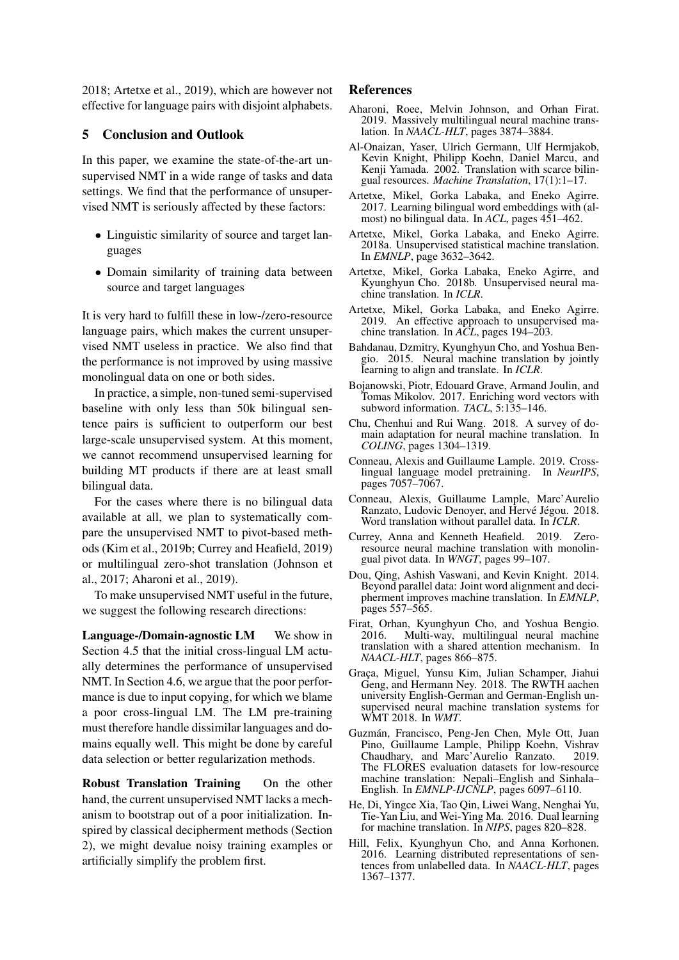2018; Artetxe et al., 2019), which are however not effective for language pairs with disjoint alphabets.

#### 5 Conclusion and Outlook

In this paper, we examine the state-of-the-art unsupervised NMT in a wide range of tasks and data settings. We find that the performance of unsupervised NMT is seriously affected by these factors:

- Linguistic similarity of source and target languages
- Domain similarity of training data between source and target languages

It is very hard to fulfill these in low-/zero-resource language pairs, which makes the current unsupervised NMT useless in practice. We also find that the performance is not improved by using massive monolingual data on one or both sides.

In practice, a simple, non-tuned semi-supervised baseline with only less than 50k bilingual sentence pairs is sufficient to outperform our best large-scale unsupervised system. At this moment, we cannot recommend unsupervised learning for building MT products if there are at least small bilingual data.

For the cases where there is no bilingual data available at all, we plan to systematically compare the unsupervised NMT to pivot-based methods (Kim et al., 2019b; Currey and Heafield, 2019) or multilingual zero-shot translation (Johnson et al., 2017; Aharoni et al., 2019).

To make unsupervised NMT useful in the future, we suggest the following research directions:

Language-/Domain-agnostic LM We show in Section 4.5 that the initial cross-lingual LM actually determines the performance of unsupervised NMT. In Section 4.6, we argue that the poor performance is due to input copying, for which we blame a poor cross-lingual LM. The LM pre-training must therefore handle dissimilar languages and domains equally well. This might be done by careful data selection or better regularization methods.

Robust Translation Training On the other hand, the current unsupervised NMT lacks a mechanism to bootstrap out of a poor initialization. Inspired by classical decipherment methods (Section 2), we might devalue noisy training examples or artificially simplify the problem first.

### References

- Aharoni, Roee, Melvin Johnson, and Orhan Firat. 2019. Massively multilingual neural machine translation. In *NAACL-HLT*, pages 3874–3884.
- Al-Onaizan, Yaser, Ulrich Germann, Ulf Hermjakob, Kevin Knight, Philipp Koehn, Daniel Marcu, and Kenji Yamada. 2002. Translation with scarce bilingual resources. *Machine Translation*, 17(1):1–17.
- Artetxe, Mikel, Gorka Labaka, and Eneko Agirre. 2017. Learning bilingual word embeddings with (almost) no bilingual data. In *ACL*, pages 451–462.
- Artetxe, Mikel, Gorka Labaka, and Eneko Agirre. 2018a. Unsupervised statistical machine translation. In *EMNLP*, page 3632–3642.
- Artetxe, Mikel, Gorka Labaka, Eneko Agirre, and Kyunghyun Cho. 2018b. Unsupervised neural machine translation. In *ICLR*.
- Artetxe, Mikel, Gorka Labaka, and Eneko Agirre. 2019. An effective approach to unsupervised machine translation. In *ACL*, pages 194–203.
- Bahdanau, Dzmitry, Kyunghyun Cho, and Yoshua Bengio. 2015. Neural machine translation by jointly learning to align and translate. In *ICLR*.
- Bojanowski, Piotr, Edouard Grave, Armand Joulin, and Tomas Mikolov. 2017. Enriching word vectors with subword information. *TACL*, 5:135–146.
- Chu, Chenhui and Rui Wang. 2018. A survey of domain adaptation for neural machine translation. In *COLING*, pages 1304–1319.
- Conneau, Alexis and Guillaume Lample. 2019. Crosslingual language model pretraining. In *NeurIPS*, pages 7057–7067.
- Conneau, Alexis, Guillaume Lample, Marc'Aurelio Ranzato, Ludovic Denoyer, and Hervé Jégou. 2018. Word translation without parallel data. In *ICLR*.
- Currey, Anna and Kenneth Heafield. 2019. Zeroresource neural machine translation with monolingual pivot data. In *WNGT*, pages 99–107.
- Dou, Qing, Ashish Vaswani, and Kevin Knight. 2014. Beyond parallel data: Joint word alignment and decipherment improves machine translation. In *EMNLP*, pages 557–565.
- Firat, Orhan, Kyunghyun Cho, and Yoshua Bengio. 2016. Multi-way, multilingual neural machine translation with a shared attention mechanism. In *NAACL-HLT*, pages 866–875.
- Graça, Miguel, Yunsu Kim, Julian Schamper, Jiahui Geng, and Hermann Ney. 2018. The RWTH aachen university English-German and German-English unsupervised neural machine translation systems for WMT 2018. In *WMT*.
- Guzmán, Francisco, Peng-Jen Chen, Myle Ott, Juan Pino, Guillaume Lample, Philipp Koehn, Vishrav Chaudhary, and Marc'Aurelio Ranzato. 2019. The FLORES evaluation datasets for low-resource machine translation: Nepali–English and Sinhala– English. In *EMNLP-IJCNLP*, pages 6097–6110.
- He, Di, Yingce Xia, Tao Qin, Liwei Wang, Nenghai Yu, Tie-Yan Liu, and Wei-Ying Ma. 2016. Dual learning for machine translation. In *NIPS*, pages 820–828.
- Hill, Felix, Kyunghyun Cho, and Anna Korhonen. 2016. Learning distributed representations of sentences from unlabelled data. In *NAACL-HLT*, pages 1367–1377.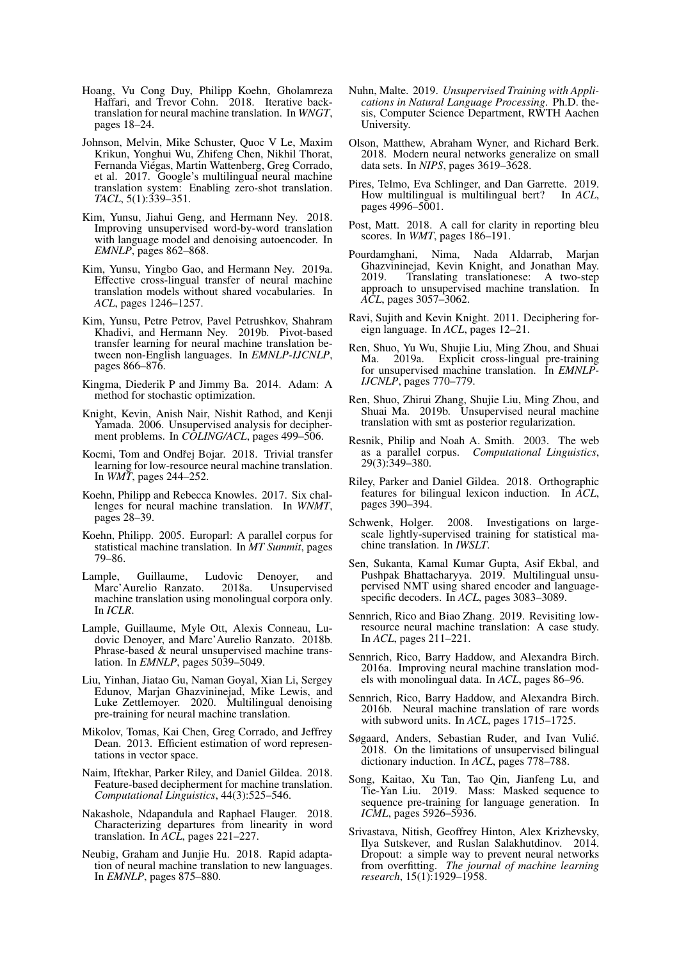- Hoang, Vu Cong Duy, Philipp Koehn, Gholamreza Haffari, and Trevor Cohn. 2018. Iterative backtranslation for neural machine translation. In *WNGT*, pages 18–24.
- Johnson, Melvin, Mike Schuster, Quoc V Le, Maxim Krikun, Yonghui Wu, Zhifeng Chen, Nikhil Thorat, Fernanda Viégas, Martin Wattenberg, Greg Corrado, et al. 2017. Google's multilingual neural machine translation system: Enabling zero-shot translation. *TACL*, 5(1):339–351.
- Kim, Yunsu, Jiahui Geng, and Hermann Ney. 2018. Improving unsupervised word-by-word translation with language model and denoising autoencoder. In *EMNLP*, pages 862–868.
- Kim, Yunsu, Yingbo Gao, and Hermann Ney. 2019a. Effective cross-lingual transfer of neural machine translation models without shared vocabularies. In *ACL*, pages 1246–1257.
- Kim, Yunsu, Petre Petrov, Pavel Petrushkov, Shahram Khadivi, and Hermann Ney. 2019b. Pivot-based transfer learning for neural machine translation between non-English languages. In *EMNLP-IJCNLP*, pages 866–876.
- Kingma, Diederik P and Jimmy Ba. 2014. Adam: A method for stochastic optimization.
- Knight, Kevin, Anish Nair, Nishit Rathod, and Kenji Yamada. 2006. Unsupervised analysis for decipherment problems. In *COLING/ACL*, pages 499–506.
- Kocmi, Tom and Ondřej Bojar. 2018. Trivial transfer learning for low-resource neural machine translation. In *WMT*, pages 244–252.
- Koehn, Philipp and Rebecca Knowles. 2017. Six challenges for neural machine translation. In *WNMT*, pages 28–39.
- Koehn, Philipp. 2005. Europarl: A parallel corpus for statistical machine translation. In *MT Summit*, pages 79–86.
- Lample, Guillaume, Ludovic Denoyer, and Marc'Aurelio Ranzato. 2018a. Unsupervised machine translation using monolingual corpora only. In *ICLR*.
- Lample, Guillaume, Myle Ott, Alexis Conneau, Ludovic Denoyer, and Marc'Aurelio Ranzato. 2018b. Phrase-based & neural unsupervised machine translation. In *EMNLP*, pages 5039–5049.
- Liu, Yinhan, Jiatao Gu, Naman Goyal, Xian Li, Sergey Edunov, Marjan Ghazvininejad, Mike Lewis, and Luke Zettlemoyer. 2020. Multilingual denoising pre-training for neural machine translation.
- Mikolov, Tomas, Kai Chen, Greg Corrado, and Jeffrey Dean. 2013. Efficient estimation of word representations in vector space.
- Naim, Iftekhar, Parker Riley, and Daniel Gildea. 2018. Feature-based decipherment for machine translation. *Computational Linguistics*, 44(3):525–546.
- Nakashole, Ndapandula and Raphael Flauger. 2018. Characterizing departures from linearity in word translation. In *ACL*, pages 221–227.
- Neubig, Graham and Junjie Hu. 2018. Rapid adaptation of neural machine translation to new languages. In *EMNLP*, pages 875–880.
- Nuhn, Malte. 2019. *Unsupervised Training with Applications in Natural Language Processing*. Ph.D. thesis, Computer Science Department, RWTH Aachen University.
- Olson, Matthew, Abraham Wyner, and Richard Berk. 2018. Modern neural networks generalize on small data sets. In *NIPS*, pages 3619–3628.
- Pires, Telmo, Eva Schlinger, and Dan Garrette. 2019. How multilingual is multilingual bert? In *ACL*, pages 4996–5001.
- Post, Matt. 2018. A call for clarity in reporting bleu scores. In *WMT*, pages 186–191.
- Pourdamghani, Nima, Nada Aldarrab, Marjan Ghazvininejad, Kevin Knight, and Jonathan May. 2019. Translating translationese: A two-step approach to unsupervised machine translation. In *ACL*, pages 3057–3062.
- Ravi, Sujith and Kevin Knight. 2011. Deciphering foreign language. In *ACL*, pages 12–21.
- Ren, Shuo, Yu Wu, Shujie Liu, Ming Zhou, and Shuai Ma. 2019a. Explicit cross-lingual pre-training for unsupervised machine translation. In *EMNLP-IJCNLP*, pages 770–779.
- Ren, Shuo, Zhirui Zhang, Shujie Liu, Ming Zhou, and Shuai Ma. 2019b. Unsupervised neural machine translation with smt as posterior regularization.
- Resnik, Philip and Noah A. Smith. 2003. The web as a parallel corpus. *Computational Linguistics*, 29(3):349–380.
- Riley, Parker and Daniel Gildea. 2018. Orthographic features for bilingual lexicon induction. In *ACL*, pages 390–394.
- Schwenk, Holger. 2008. Investigations on largescale lightly-supervised training for statistical machine translation. In *IWSLT*.
- Sen, Sukanta, Kamal Kumar Gupta, Asif Ekbal, and Pushpak Bhattacharyya. 2019. Multilingual unsupervised NMT using shared encoder and languagespecific decoders. In *ACL*, pages 3083–3089.
- Sennrich, Rico and Biao Zhang. 2019. Revisiting lowresource neural machine translation: A case study. In *ACL*, pages 211–221.
- Sennrich, Rico, Barry Haddow, and Alexandra Birch. 2016a. Improving neural machine translation models with monolingual data. In *ACL*, pages 86–96.
- Sennrich, Rico, Barry Haddow, and Alexandra Birch. 2016b. Neural machine translation of rare words with subword units. In *ACL*, pages 1715–1725.
- Søgaard, Anders, Sebastian Ruder, and Ivan Vulić. 2018. On the limitations of unsupervised bilingual dictionary induction. In *ACL*, pages 778–788.
- Song, Kaitao, Xu Tan, Tao Qin, Jianfeng Lu, and Tie-Yan Liu. 2019. Mass: Masked sequence to sequence pre-training for language generation. In *ICML*, pages 5926–5936.
- Srivastava, Nitish, Geoffrey Hinton, Alex Krizhevsky, Ilya Sutskever, and Ruslan Salakhutdinov. 2014. Dropout: a simple way to prevent neural networks from overfitting. *The journal of machine learning research*, 15(1):1929–1958.